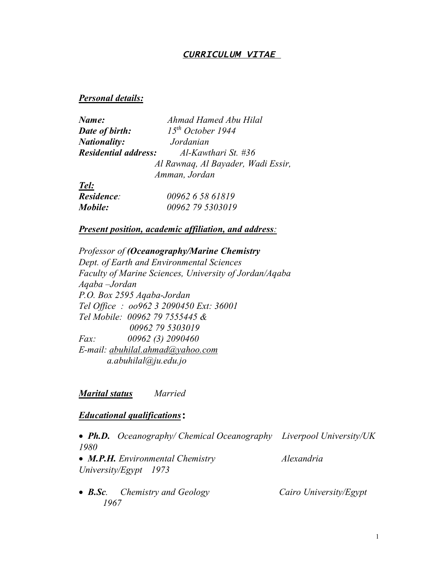# *CURRICULUM VITAE*

#### *Personal details:*

| Name:                       | Ahmad Hamed Abu Hilal              |
|-----------------------------|------------------------------------|
| Date of birth:              | 15 <sup>th</sup> October 1944      |
| <b>Nationality:</b>         | Jordanian                          |
| <b>Residential address:</b> | $Al$ -Kawthari St. #36             |
|                             | Al Rawnaq, Al Bayader, Wadi Essir, |
|                             | Amman, Jordan                      |
| Tel:                        |                                    |
| Residence:                  | 00962 6 58 61819                   |

#### *Present position, academic affiliation, and address:*

*Mobile: 00962 79 5303019*

*Professor of (Oceanography/Marine Chemistry Dept. of Earth and Environmental Sciences Faculty of Marine Sciences, University of Jordan/Aqaba Aqaba –Jordan P.O. Box 2595 Aqaba-Jordan Tel Office : oo962 3 2090450 Ext: 36001 Tel Mobile: 00962 79 7555445 & 00962 79 5303019 Fax: 00962 (3) 2090460 E-mail: abuhilal.ahmad@yahoo.com a.abuhilal@ju.edu.jo*

#### *Marital status Married*

#### *Educational qualifications***:**

 *Ph.D. Oceanography/ Chemical Oceanography Liverpool University/UK 1980* • *M.P.H. Environmental Chemistry Alexandria University/Egypt 1973*

• **B.Sc***.* Chemistry and Geology Cairo University/Egypt *1967*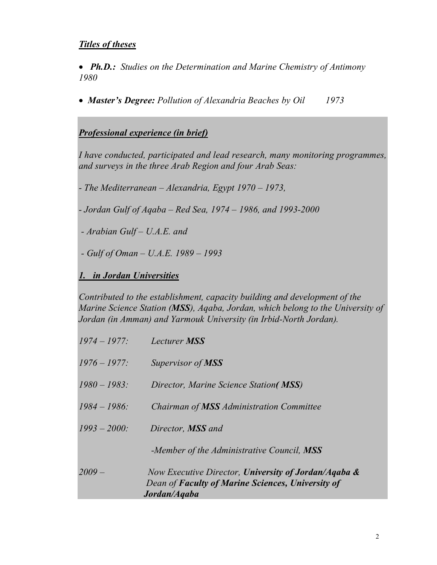# *Titles of theses*

 *Ph.D.: Studies on the Determination and Marine Chemistry of Antimony 1980*

*Master's Degree: Pollution of Alexandria Beaches by Oil 1973*

# *Professional experience (in brief)*

*I have conducted, participated and lead research, many monitoring programmes, and surveys in the three Arab Region and four Arab Seas:* 

*- The Mediterranean – Alexandria, Egypt 1970 – 1973,* 

*- Jordan Gulf of Aqaba – Red Sea, 1974 – 1986, and 1993-2000*

*- Arabian Gulf – U.A.E. and* 

*- Gulf of Oman – U.A.E. 1989 – 1993*

*1. in Jordan Universities*

*Contributed to the establishment, capacity building and development of the Marine Science Station (MSS), Aqaba, Jordan, which belong to the University of Jordan (in Amman) and Yarmouk University (in Irbid-North Jordan).*

| $1974 - 1977$ : | <b>Lecturer MSS</b>                                                                                                       |
|-----------------|---------------------------------------------------------------------------------------------------------------------------|
| $1976 - 1977$ : | Supervisor of <b>MSS</b>                                                                                                  |
| $1980 - 1983$ : | Director, Marine Science Station(MSS)                                                                                     |
| $1984 - 1986$ : | Chairman of <b>MSS</b> Administration Committee                                                                           |
| $1993 - 2000$ : | Director, <b>MSS</b> and                                                                                                  |
|                 | -Member of the Administrative Council, MSS                                                                                |
| $2009-$         | Now Executive Director, University of Jordan/Agaba &<br>Dean of Faculty of Marine Sciences, University of<br>Jordan/Aqaba |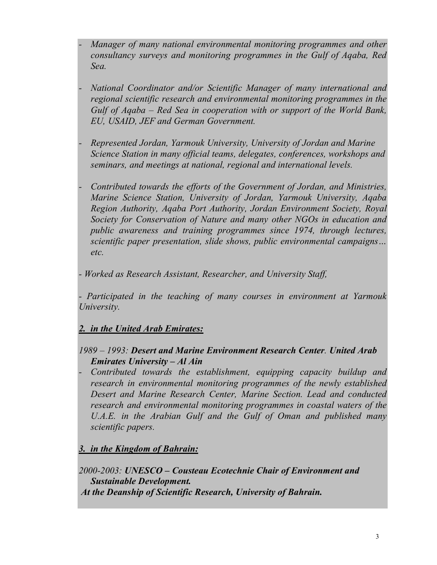- *- Manager of many national environmental monitoring programmes and other consultancy surveys and monitoring programmes in the Gulf of Aqaba, Red Sea.*
- *- National Coordinator and/or Scientific Manager of many international and regional scientific research and environmental monitoring programmes in the Gulf of Aqaba – Red Sea in cooperation with or support of the World Bank, EU, USAID, JEF and German Government.*
- *- Represented Jordan, Yarmouk University, University of Jordan and Marine Science Station in many official teams, delegates, conferences, workshops and seminars, and meetings at national, regional and international levels.*
- *- Contributed towards the efforts of the Government of Jordan, and Ministries, Marine Science Station, University of Jordan, Yarmouk University, Aqaba Region Authority, Aqaba Port Authority, Jordan Environment Society, Royal Society for Conservation of Nature and many other NGOs in education and public awareness and training programmes since 1974, through lectures, scientific paper presentation, slide shows, public environmental campaigns… etc.*
- *Worked as Research Assistant, Researcher, and University Staff,*

*- Participated in the teaching of many courses in environment at Yarmouk University.* 

# *2. in the United Arab Emirates:*

# *1989 – 1993: Desert and Marine Environment Research Center. United Arab Emirates University – Al Ain*

*- Contributed towards the establishment, equipping capacity buildup and research in environmental monitoring programmes of the newly established Desert and Marine Research Center, Marine Section. Lead and conducted research and environmental monitoring programmes in coastal waters of the*  U.A.E. in the Arabian Gulf and the Gulf of Oman and published many *scientific papers.*

# *3. in the Kingdom of Bahrain:*

*2000-2003: UNESCO – Cousteau Ecotechnie Chair of Environment and Sustainable Development. At the Deanship of Scientific Research, University of Bahrain.*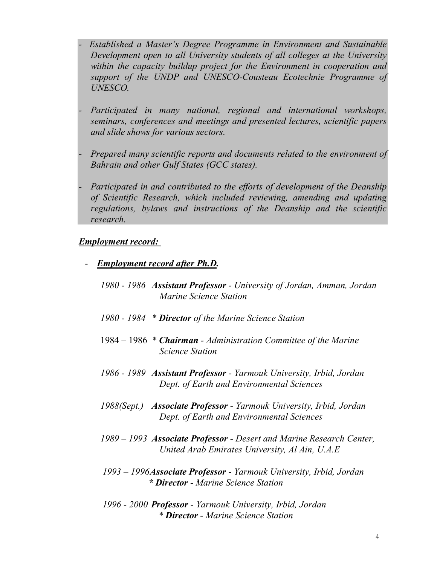- *Established a Master's Degree Programme in Environment and Sustainable Development open to all University students of all colleges at the University within the capacity buildup project for the Environment in cooperation and support of the UNDP and UNESCO-Cousteau Ecotechnie Programme of UNESCO.*
- *- Participated in many national, regional and international workshops, seminars, conferences and meetings and presented lectures, scientific papers and slide shows for various sectors.*
- *- Prepared many scientific reports and documents related to the environment of Bahrain and other Gulf States (GCC states).*
- *- Participated in and contributed to the efforts of development of the Deanship of Scientific Research, which included reviewing, amending and updating regulations, bylaws and instructions of the Deanship and the scientific research.*

### *Employment record:*

- *Employment record after Ph.D.*
	- *1980 1986 Assistant Professor University of Jordan, Amman, Jordan Marine Science Station*
	- *1980 1984 \* Director of the Marine Science Station*
	- 1984 1986 *\* Chairman Administration Committee of the Marine Science Station*
	- *1986 1989 Assistant Professor Yarmouk University, Irbid, Jordan Dept. of Earth and Environmental Sciences*
	- *1988(Sept.) Associate Professor Yarmouk University, Irbid, Jordan Dept. of Earth and Environmental Sciences*
	- *1989 1993 Associate Professor Desert and Marine Research Center, United Arab Emirates University, Al Ain, U.A.E*
	- *1993 1996Associate Professor Yarmouk University, Irbid, Jordan \* Director - Marine Science Station*
	- *1996 2000 Professor Yarmouk University, Irbid, Jordan \* Director - Marine Science Station*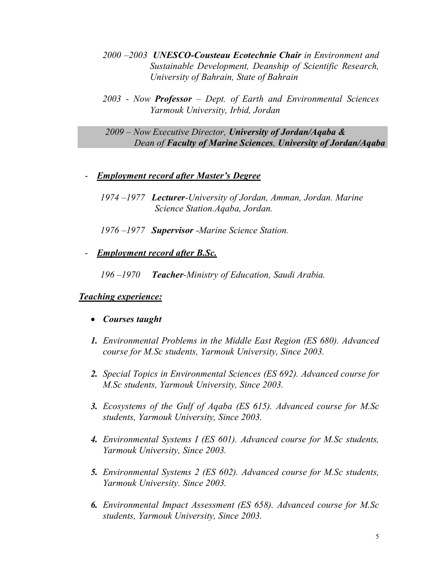- *2000 –2003 UNESCO-Cousteau Ecotechnie Chair in Environment and Sustainable Development, Deanship of Scientific Research, University of Bahrain, State of Bahrain*
- *2003 Now Professor Dept. of Earth and Environmental Sciences Yarmouk University, Irbid, Jordan*

 *2009 – Now Executive Director, University of Jordan/Aqaba & Dean of Faculty of Marine Sciences, University of Jordan/Aqaba* 

- *Employment record after Master's Degree*
	- *1974 –1977 Lecturer-University of Jordan, Amman, Jordan. Marine Science Station.Aqaba, Jordan.*
	- *1976 –1977 Supervisor -Marine Science Station.*
- *Employment record after B.Sc.*

*196 –1970 Teacher-Ministry of Education, Saudi Arabia.*

# *Teaching experience:*

- *Courses taught*
- *1. Environmental Problems in the Middle East Region (ES 680). Advanced course for M.Sc students, Yarmouk University, Since 2003.*
- *2. Special Topics in Environmental Sciences (ES 692). Advanced course for M.Sc students, Yarmouk University, Since 2003.*
- *3. Ecosystems of the Gulf of Aqaba (ES 615). Advanced course for M.Sc students, Yarmouk University, Since 2003.*
- *4. Environmental Systems I (ES 601). Advanced course for M.Sc students, Yarmouk University, Since 2003.*
- *5. Environmental Systems 2 (ES 602). Advanced course for M.Sc students, Yarmouk University. Since 2003.*
- *6. Environmental Impact Assessment (ES 658). Advanced course for M.Sc students, Yarmouk University, Since 2003.*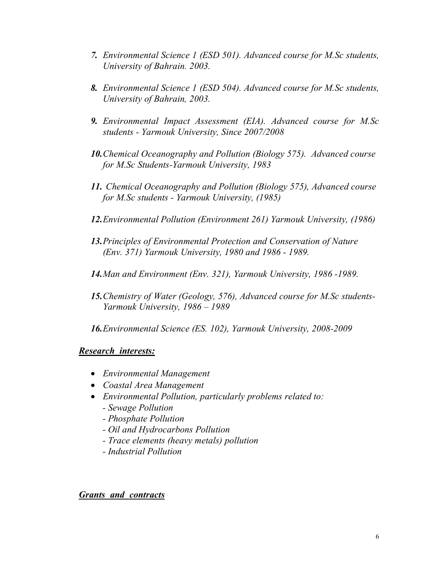- *7. Environmental Science 1 (ESD 501). Advanced course for M.Sc students, University of Bahrain. 2003.*
- *8. Environmental Science 1 (ESD 504). Advanced course for M.Sc students, University of Bahrain, 2003.*
- *9. Environmental Impact Assessment (EIA). Advanced course for M.Sc students - Yarmouk University, Since 2007/2008*
- *10.Chemical Oceanography and Pollution (Biology 575). Advanced course for M.Sc Students-Yarmouk University, 1983*
- *11. Chemical Oceanography and Pollution (Biology 575), Advanced course for M.Sc students - Yarmouk University, (1985)*
- *12.Environmental Pollution (Environment 261) Yarmouk University, (1986)*
- *13.Principles of Environmental Protection and Conservation of Nature (Env. 371) Yarmouk University, 1980 and 1986 - 1989.*
- *14.Man and Environment (Env. 321), Yarmouk University, 1986 -1989.*
- *15.Chemistry of Water (Geology, 576), Advanced course for M.Sc students-Yarmouk University, 1986 – 1989*
- *16.Environmental Science (ES. 102), Yarmouk University, 2008-2009*

### *Research interests:*

- *Environmental Management*
- *Coastal Area Management*
- *Environmental Pollution, particularly problems related to:*
	- *Sewage Pollution*
	- *Phosphate Pollution*
	- *Oil and Hydrocarbons Pollution*
	- *Trace elements (heavy metals) pollution*
	- *Industrial Pollution*

### *Grants and contracts*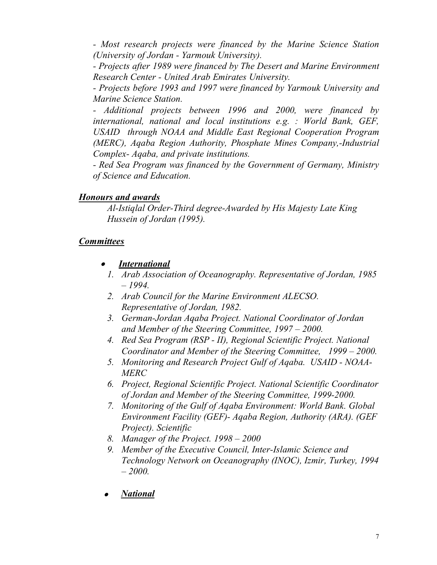*- Most research projects were financed by the Marine Science Station (University of Jordan - Yarmouk University).* 

*- Projects after 1989 were financed by The Desert and Marine Environment Research Center - United Arab Emirates University.* 

*- Projects before 1993 and 1997 were financed by Yarmouk University and Marine Science Station.* 

*- Additional projects between 1996 and 2000, were financed by international, national and local institutions e.g. : World Bank, GEF, USAID through NOAA and Middle East Regional Cooperation Program (MERC), Aqaba Region Authority, Phosphate Mines Company,-Industrial Complex- Aqaba, and private institutions.* 

*- Red Sea Program was financed by the Government of Germany, Ministry of Science and Education.*

# *Honours and awards*

*Al-Istiqlal Order-Third degree-Awarded by His Majesty Late King Hussein of Jordan (1995).*

# *Committees*

- $\bullet$  *International*
	- *1. Arab Association of Oceanography. Representative of Jordan, 1985 – 1994.*
	- *2. Arab Council for the Marine Environment ALECSO. Representative of Jordan, 1982.*
	- *3. German-Jordan Aqaba Project. National Coordinator of Jordan and Member of the Steering Committee, 1997 – 2000.*
	- *4. Red Sea Program (RSP II), Regional Scientific Project. National Coordinator and Member of the Steering Committee, 1999 – 2000.*
	- *5. Monitoring and Research Project Gulf of Aqaba. USAID NOAA-MERC*
	- *6. Project, Regional Scientific Project. National Scientific Coordinator of Jordan and Member of the Steering Committee, 1999-2000.*
	- *7. Monitoring of the Gulf of Aqaba Environment: World Bank. Global Environment Facility (GEF)- Aqaba Region, Authority (ARA). (GEF Project). Scientific*
	- *8. Manager of the Project. 1998 2000*
	- *9. Member of the Executive Council, Inter-Islamic Science and Technology Network on Oceanography (INOC), Izmir, Turkey, 1994 – 2000.*
- 0 *National*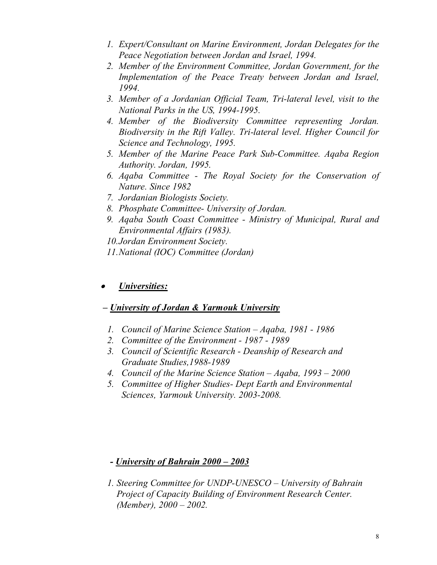- *1. Expert/Consultant on Marine Environment, Jordan Delegates for the Peace Negotiation between Jordan and Israel, 1994.*
- *2. Member of the Environment Committee, Jordan Government, for the Implementation of the Peace Treaty between Jordan and Israel, 1994.*
- *3. Member of a Jordanian Official Team, Tri-lateral level, visit to the National Parks in the US, 1994-1995.*
- *4. Member of the Biodiversity Committee representing Jordan. Biodiversity in the Rift Valley. Tri-lateral level. Higher Council for Science and Technology, 1995.*
- *5. Member of the Marine Peace Park Sub-Committee. Aqaba Region Authority. Jordan, 1995.*
- *6. Aqaba Committee The Royal Society for the Conservation of Nature. Since 1982*
- *7. Jordanian Biologists Society.*
- *8. Phosphate Committee- University of Jordan.*
- *9. Aqaba South Coast Committee Ministry of Municipal, Rural and Environmental Affairs (1983).*
- *10.Jordan Environment Society.*
- *11.National (IOC) Committee (Jordan)*

#### . *Universities:*

# *– University of Jordan & Yarmouk University*

- *1. Council of Marine Science Station Aqaba, 1981 1986*
- *2. Committee of the Environment 1987 1989*
- *3. Council of Scientific Research Deanship of Research and Graduate Studies,1988-1989*
- *4. Council of the Marine Science Station Aqaba, 1993 2000*
- *5. Committee of Higher Studies- Dept Earth and Environmental Sciences, Yarmouk University. 2003-2008.*

# *- University of Bahrain 2000 – 2003*

*1. Steering Committee for UNDP-UNESCO – University of Bahrain Project of Capacity Building of Environment Research Center. (Member), 2000 – 2002.*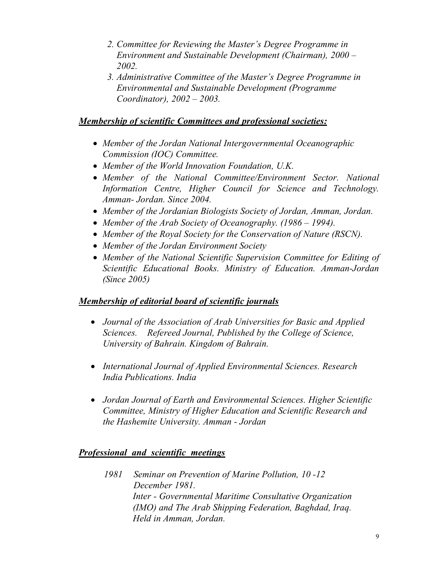- *2. Committee for Reviewing the Master's Degree Programme in Environment and Sustainable Development (Chairman), 2000 – 2002.*
- *3. Administrative Committee of the Master's Degree Programme in Environmental and Sustainable Development (Programme Coordinator), 2002 – 2003.*

# *Membership of scientific Committees and professional societies:*

- *Member of the Jordan National Intergovernmental Oceanographic Commission (IOC) Committee.*
- *Member of the World Innovation Foundation, U.K.*
- *Member of the National Committee/Environment Sector. National Information Centre, Higher Council for Science and Technology. Amman- Jordan. Since 2004.*
- *Member of the Jordanian Biologists Society of Jordan, Amman, Jordan.*
- *Member of the Arab Society of Oceanography. (1986 1994).*
- *Member of the Royal Society for the Conservation of Nature (RSCN).*
- *Member of the Jordan Environment Society*
- *Member of the National Scientific Supervision Committee for Editing of Scientific Educational Books. Ministry of Education. Amman-Jordan (Since 2005)*

# *Membership of editorial board of scientific journals*

- *Journal of the Association of Arab Universities for Basic and Applied Sciences. Refereed Journal, Published by the College of Science, University of Bahrain. Kingdom of Bahrain.*
- *International Journal of Applied Environmental Sciences. Research India Publications. India*
- *Jordan Journal of Earth and Environmental Sciences. Higher Scientific Committee, Ministry of Higher Education and Scientific Research and the Hashemite University. Amman - Jordan*

# *Professional and scientific meetings*

*1981 Seminar on Prevention of Marine Pollution, 10 -12 December 1981. Inter - Governmental Maritime Consultative Organization (IMO) and The Arab Shipping Federation, Baghdad, Iraq. Held in Amman, Jordan.*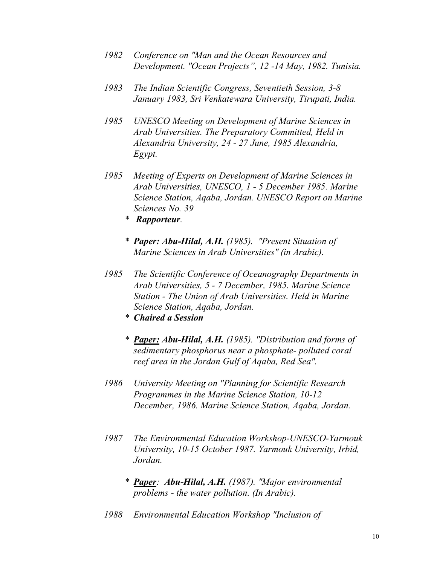- *1982 Conference on "Man and the Ocean Resources and Development. "Ocean Projects", 12 -14 May, 1982. Tunisia.*
- *1983 The Indian Scientific Congress, Seventieth Session, 3-8 January 1983, Sri Venkatewara University, Tirupati, India.*
- *1985 UNESCO Meeting on Development of Marine Sciences in Arab Universities. The Preparatory Committed, Held in Alexandria University, 24 - 27 June, 1985 Alexandria, Egypt.*
- *1985 Meeting of Experts on Development of Marine Sciences in Arab Universities, UNESCO, 1 - 5 December 1985. Marine Science Station, Aqaba, Jordan. UNESCO Report on Marine Sciences No. 39*
	- *\* Rapporteur.*
	- *\* Paper: Abu-Hilal, A.H. (1985). "Present Situation of Marine Sciences in Arab Universities" (in Arabic).*
- *1985 The Scientific Conference of Oceanography Departments in Arab Universities, 5 - 7 December, 1985. Marine Science Station - The Union of Arab Universities. Held in Marine Science Station, Aqaba, Jordan.*
	- *\* Chaired a Session*
	- *\* Paper: Abu-Hilal, A.H. (1985). "Distribution and forms of sedimentary phosphorus near a phosphate- polluted coral reef area in the Jordan Gulf of Aqaba, Red Sea".*
- *1986 University Meeting on "Planning for Scientific Research Programmes in the Marine Science Station, 10-12 December, 1986. Marine Science Station, Aqaba, Jordan.*
- *1987 The Environmental Education Workshop-UNESCO-Yarmouk University, 10-15 October 1987. Yarmouk University, Irbid, Jordan.*
	- *\* Paper: Abu-Hilal, A.H. (1987). "Major environmental problems - the water pollution. (In Arabic).*
- *1988 Environmental Education Workshop "Inclusion of*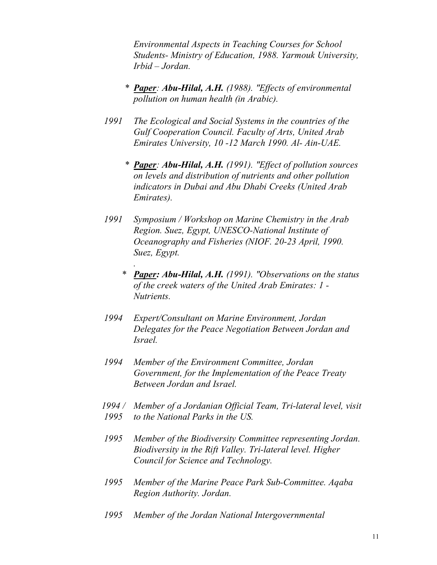*Environmental Aspects in Teaching Courses for School Students- Ministry of Education, 1988. Yarmouk University, Irbid – Jordan.*

- *\* Paper: Abu-Hilal, A.H. (1988). "Effects of environmental pollution on human health (in Arabic).*
- *1991 The Ecological and Social Systems in the countries of the Gulf Cooperation Council. Faculty of Arts, United Arab Emirates University, 10 -12 March 1990. Al- Ain-UAE.*
	- *\* Paper: Abu-Hilal, A.H. (1991). "Effect of pollution sources on levels and distribution of nutrients and other pollution indicators in Dubai and Abu Dhabi Creeks (United Arab Emirates).*
- *1991 Symposium / Workshop on Marine Chemistry in the Arab Region. Suez, Egypt, UNESCO-National Institute of Oceanography and Fisheries (NIOF. 20-23 April, 1990. Suez, Egypt.*

*.*

- *\* Paper: Abu-Hilal, A.H. (1991). "Observations on the status of the creek waters of the United Arab Emirates: 1 - Nutrients.*
- *1994 Expert/Consultant on Marine Environment, Jordan Delegates for the Peace Negotiation Between Jordan and Israel.*
- *1994 Member of the Environment Committee, Jordan Government, for the Implementation of the Peace Treaty Between Jordan and Israel.*
- *1994 / Member of a Jordanian Official Team, Tri-lateral level, visit 1995 to the National Parks in the US.*
- *1995 Member of the Biodiversity Committee representing Jordan. Biodiversity in the Rift Valley. Tri-lateral level. Higher Council for Science and Technology.*
- *1995 Member of the Marine Peace Park Sub-Committee. Aqaba Region Authority. Jordan.*
- *1995 Member of the Jordan National Intergovernmental*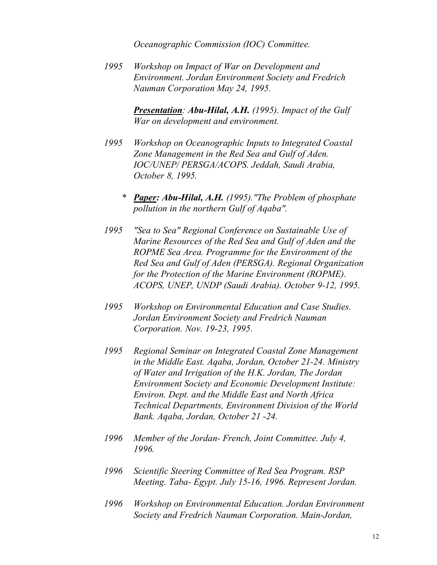*Oceanographic Commission (IOC) Committee.*

*1995 Workshop on Impact of War on Development and Environment. Jordan Environment Society and Fredrich Nauman Corporation May 24, 1995.*

> *Presentation: Abu-Hilal, A.H. (1995). Impact of the Gulf War on development and environment.*

- *1995 Workshop on Oceanographic Inputs to Integrated Coastal Zone Management in the Red Sea and Gulf of Aden. IOC/UNEP/ PERSGA/ACOPS. Jeddah, Saudi Arabia, October 8, 1995.*
	- *\* Paper: Abu-Hilal, A.H. (1995)."The Problem of phosphate pollution in the northern Gulf of Aqaba".*
- *1995 "Sea to Sea" Regional Conference on Sustainable Use of Marine Resources of the Red Sea and Gulf of Aden and the ROPME Sea Area. Programme for the Environment of the Red Sea and Gulf of Aden (PERSGA). Regional Organization for the Protection of the Marine Environment (ROPME). ACOPS, UNEP, UNDP (Saudi Arabia). October 9-12, 1995.*
- *1995 Workshop on Environmental Education and Case Studies. Jordan Environment Society and Fredrich Nauman Corporation. Nov. 19-23, 1995.*
- *1995 Regional Seminar on Integrated Coastal Zone Management in the Middle East. Aqaba, Jordan, October 21-24. Ministry of Water and Irrigation of the H.K. Jordan, The Jordan Environment Society and Economic Development Institute: Environ. Dept. and the Middle East and North Africa Technical Departments, Environment Division of the World Bank. Aqaba, Jordan, October 21 -24.*
- *1996 Member of the Jordan- French, Joint Committee. July 4, 1996.*
- *1996 Scientific Steering Committee of Red Sea Program. RSP Meeting. Taba- Egypt. July 15-16, 1996. Represent Jordan.*
- *1996 Workshop on Environmental Education. Jordan Environment Society and Fredrich Nauman Corporation. Main-Jordan,*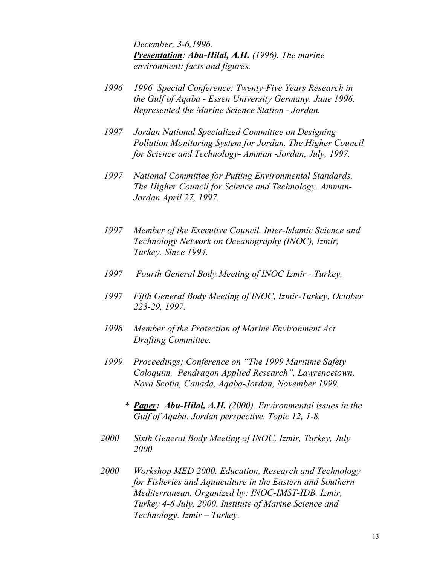*December, 3-6,1996. Presentation: Abu-Hilal, A.H. (1996). The marine environment: facts and figures.*

- *1996 1996 Special Conference: Twenty-Five Years Research in the Gulf of Aqaba - Essen University Germany. June 1996. Represented the Marine Science Station - Jordan.*
- *1997 Jordan National Specialized Committee on Designing Pollution Monitoring System for Jordan. The Higher Council for Science and Technology- Amman -Jordan, July, 1997.*
- *1997 National Committee for Putting Environmental Standards. The Higher Council for Science and Technology. Amman-Jordan April 27, 1997.*
- *1997 Member of the Executive Council, Inter-Islamic Science and Technology Network on Oceanography (INOC), Izmir, Turkey. Since 1994.*
- *1997 Fourth General Body Meeting of INOC Izmir Turkey,*
- *1997 Fifth General Body Meeting of INOC, Izmir-Turkey, October 223-29, 1997.*
- *1998 Member of the Protection of Marine Environment Act Drafting Committee.*
- *1999 Proceedings; Conference on "The 1999 Maritime Safety Coloquim. Pendragon Applied Research", Lawrencetown, Nova Scotia, Canada, Aqaba-Jordan, November 1999.*
	- *\* Paper: Abu-Hilal, A.H. (2000). Environmental issues in the Gulf of Aqaba. Jordan perspective. Topic 12, 1-8.*
- *2000 Sixth General Body Meeting of INOC, Izmir, Turkey, July 2000*
- *2000 Workshop MED 2000. Education, Research and Technology for Fisheries and Aquaculture in the Eastern and Southern Mediterranean. Organized by: INOC-IMST-IDB. Izmir, Turkey 4-6 July, 2000. Institute of Marine Science and Technology. Izmir – Turkey.*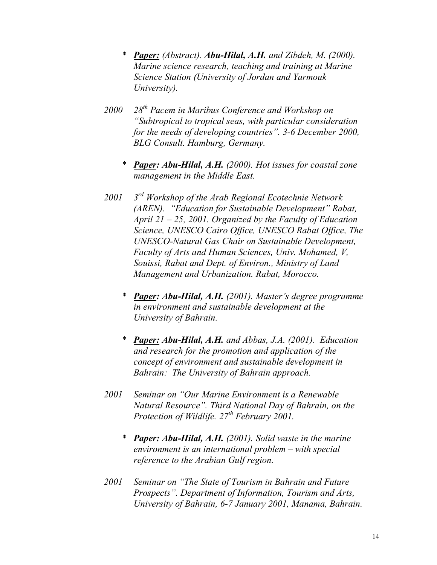- *\* Paper: (Abstract). Abu-Hilal, A.H. and Zibdeh, M. (2000). Marine science research, teaching and training at Marine Science Station (University of Jordan and Yarmouk University).*
- *2000 28th Pacem in Maribus Conference and Workshop on "Subtropical to tropical seas, with particular consideration for the needs of developing countries". 3-6 December 2000, BLG Consult. Hamburg, Germany.*
	- *\* Paper: Abu-Hilal, A.H. (2000). Hot issues for coastal zone management in the Middle East.*
- *2001 3 rd Workshop of the Arab Regional Ecotechnie Network (AREN). "Education for Sustainable Development" Rabat, April 21 – 25, 2001. Organized by the Faculty of Education Science, UNESCO Cairo Office, UNESCO Rabat Office, The UNESCO-Natural Gas Chair on Sustainable Development, Faculty of Arts and Human Sciences, Univ. Mohamed, V, Souissi, Rabat and Dept. of Environ., Ministry of Land Management and Urbanization. Rabat, Morocco.*
	- *\* Paper: Abu-Hilal, A.H. (2001). Master's degree programme in environment and sustainable development at the University of Bahrain.*
	- *\* Paper: Abu-Hilal, A.H. and Abbas, J.A. (2001). Education and research for the promotion and application of the concept of environment and sustainable development in Bahrain: The University of Bahrain approach.*
- *2001 Seminar on "Our Marine Environment is a Renewable Natural Resource". Third National Day of Bahrain, on the Protection of Wildlife. 27th February 2001.*
	- *\* Paper: Abu-Hilal, A.H. (2001). Solid waste in the marine environment is an international problem – with special reference to the Arabian Gulf region.*
- *2001 Seminar on "The State of Tourism in Bahrain and Future Prospects". Department of Information, Tourism and Arts, University of Bahrain, 6-7 January 2001, Manama, Bahrain.*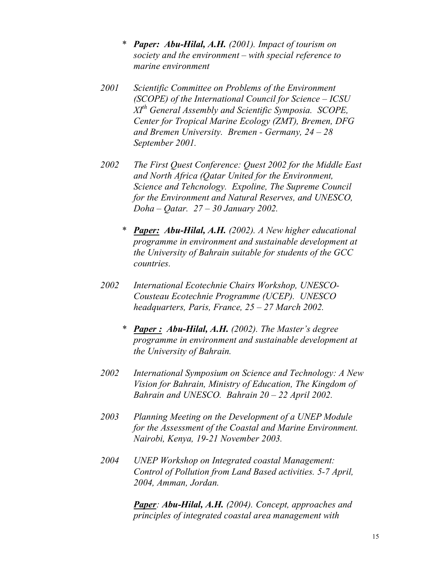- *\* Paper: Abu-Hilal, A.H. (2001). Impact of tourism on society and the environment – with special reference to marine environment*
- *2001 Scientific Committee on Problems of the Environment (SCOPE) of the International Council for Science – ICSU XIth General Assembly and Scientific Symposia. SCOPE, Center for Tropical Marine Ecology (ZMT), Bremen, DFG and Bremen University. Bremen - Germany, 24 – 28 September 2001.*
- *2002 The First Quest Conference: Quest 2002 for the Middle East and North Africa (Qatar United for the Environment, Science and Tehcnology. Expoline, The Supreme Council for the Environment and Natural Reserves, and UNESCO, Doha – Qatar. 27 – 30 January 2002.*
	- *\* Paper: Abu-Hilal, A.H. (2002). A New higher educational programme in environment and sustainable development at the University of Bahrain suitable for students of the GCC countries.*
- *2002 International Ecotechnie Chairs Workshop, UNESCO-Cousteau Ecotechnie Programme (UCEP). UNESCO headquarters, Paris, France, 25 – 27 March 2002.*
	- *\* Paper : Abu-Hilal, A.H. (2002). The Master's degree programme in environment and sustainable development at the University of Bahrain.*
- *2002 International Symposium on Science and Technology: A New Vision for Bahrain, Ministry of Education, The Kingdom of Bahrain and UNESCO. Bahrain 20 – 22 April 2002.*
- *2003 Planning Meeting on the Development of a UNEP Module for the Assessment of the Coastal and Marine Environment. Nairobi, Kenya, 19-21 November 2003.*
- *2004 UNEP Workshop on Integrated coastal Management: Control of Pollution from Land Based activities. 5-7 April, 2004, Amman, Jordan.*

*Paper: Abu-Hilal, A.H. (2004). Concept, approaches and principles of integrated coastal area management with*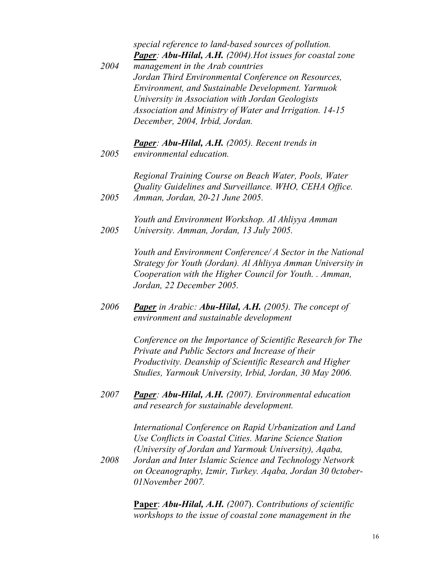*special reference to land-based sources of pollution. Paper: Abu-Hilal, A.H. (2004).Hot issues for coastal zone* 

*2004 management in the Arab countries Jordan Third Environmental Conference on Resources, Environment, and Sustainable Development. Yarmuok University in Association with Jordan Geologists Association and Ministry of Water and Irrigation. 14-15 December, 2004, Irbid, Jordan.*

*Paper: Abu-Hilal, A.H. (2005). Recent trends in environmental education.*

*2005*

*2005 Regional Training Course on Beach Water, Pools, Water Quality Guidelines and Surveillance. WHO, CEHA Office. Amman, Jordan, 20-21 June 2005.*

*2005 Youth and Environment Workshop. Al Ahliyya Amman University. Amman, Jordan, 13 July 2005.*

> *Youth and Environment Conference/ A Sector in the National Strategy for Youth (Jordan). Al Ahliyya Amman University in Cooperation with the Higher Council for Youth. . Amman, Jordan, 22 December 2005.*

*2006 Paper in Arabic: Abu-Hilal, A.H. (2005). The concept of environment and sustainable development* 

> *Conference on the Importance of Scientific Research for The Private and Public Sectors and Increase of their Productivity. Deanship of Scientific Research and Higher Studies, Yarmouk University, Irbid, Jordan, 30 May 2006.*

*2007 Paper: Abu-Hilal, A.H. (2007). Environmental education and research for sustainable development.*

> *International Conference on Rapid Urbanization and Land Use Conflicts in Coastal Cities. Marine Science Station (University of Jordan and Yarmouk University), Aqaba,*

*2008 Jordan and Inter Islamic Science and Technology Network on Oceanography, Izmir, Turkey. Aqaba, Jordan 30 0ctober-01November 2007.*

> **Paper**: *Abu-Hilal, A.H. (2007*). *Contributions of scientific workshops to the issue of coastal zone management in the*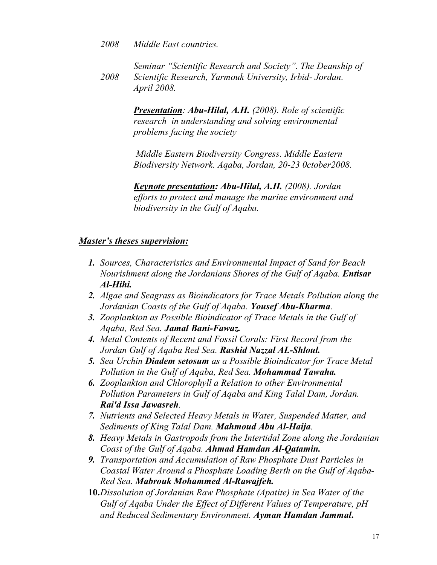- *2008 Middle East countries.*
- *2008 Seminar "Scientific Research and Society". The Deanship of Scientific Research, Yarmouk University, Irbid- Jordan. April 2008.*

*Presentation: Abu-Hilal, A.H. (2008). Role of scientific research in understanding and solving environmental problems facing the society* 

*Middle Eastern Biodiversity Congress. Middle Eastern Biodiversity Network. Aqaba, Jordan, 20-23 0ctober2008.*

*Keynote presentation: Abu-Hilal, A.H. (2008). Jordan efforts to protect and manage the marine environment and biodiversity in the Gulf of Aqaba.*

# *Master's theses supervision:*

- *1. Sources, Characteristics and Environmental Impact of Sand for Beach Nourishment along the Jordanians Shores of the Gulf of Aqaba. Entisar Al-Hihi.*
- *2. Algae and Seagrass as Bioindicators for Trace Metals Pollution along the Jordanian Coasts of the Gulf of Aqaba. Yousef Abu-Kharma.*
- *3. Zooplankton as Possible Bioindicator of Trace Metals in the Gulf of Aqaba, Red Sea. Jamal Bani-Fawaz.*
- *4. Metal Contents of Recent and Fossil Corals: First Record from the Jordan Gulf of Aqaba Red Sea. Rashid Nazzal AL-Shloul.*
- *5. Sea Urchin Diadem setosum as a Possible Bioindicator for Trace Metal Pollution in the Gulf of Aqaba, Red Sea. Mohammad Tawaha.*
- *6. Zooplankton and Chlorophyll a Relation to other Environmental Pollution Parameters in Gulf of Aqaba and King Talal Dam, Jordan. Rai'd Issa Jawasreh.*
- *7. Nutrients and Selected Heavy Metals in Water, Suspended Matter, and Sediments of King Talal Dam. Mahmoud Abu Al-Haija.*
- *8. Heavy Metals in Gastropods from the Intertidal Zone along the Jordanian Coast of the Gulf of Aqaba. Ahmad Hamdan Al-Qatamin.*
- *9. Transportation and Accumulation of Raw Phosphate Dust Particles in Coastal Water Around a Phosphate Loading Berth on the Gulf of Aqaba-Red Sea. Mabrouk Mohammed Al-Rawajfeh.*
- **10.***Dissolution of Jordanian Raw Phosphate (Apatite) in Sea Water of the Gulf of Aqaba Under the Effect of Different Values of Temperature, pH and Reduced Sedimentary Environment. Ayman Hamdan Jammal***.**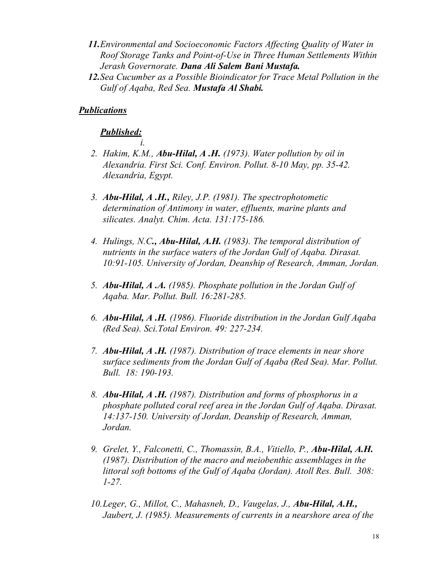- *11.Environmental and Socioeconomic Factors Affecting Quality of Water in Roof Storage Tanks and Point-of-Use in Three Human Settlements Within Jerash Governorate. Dana Ali Salem Bani Mustafa.*
- *12.Sea Cucumber as a Possible Bioindicator for Trace Metal Pollution in the Gulf of Aqaba, Red Sea. Mustafa Al Shabi.*

# *Publications*

## *Published:*

*i.*

- *2. Hakim, K.M., Abu-Hilal, A .H. (1973). Water pollution by oil in Alexandria. First Sci. Conf. Environ. Pollut. 8-10 May, pp. 35-42. Alexandria, Egypt.*
- *3. Abu-Hilal, A .H., Riley, J.P. (1981). The spectrophotometic determination of Antimony in water, effluents, marine plants and silicates. Analyt. Chim. Acta. 131:175-186.*
- *4. Hulings, N.C., Abu-Hilal, A.H. (1983). The temporal distribution of nutrients in the surface waters of the Jordan Gulf of Aqaba. Dirasat. 10:91-105. University of Jordan, Deanship of Research, Amman, Jordan.*
- *5. Abu-Hilal, A .A. (1985). Phosphate pollution in the Jordan Gulf of Aqaba. Mar. Pollut. Bull. 16:281-285.*
- *6. Abu-Hilal, A .H. (1986). Fluoride distribution in the Jordan Gulf Aqaba (Red Sea). Sci.Total Environ. 49: 227-234.*
- *7. Abu-Hilal, A .H. (1987). Distribution of trace elements in near shore surface sediments from the Jordan Gulf of Aqaba (Red Sea). Mar. Pollut. Bull. 18: 190-193.*
- *8. Abu-Hilal, A .H. (1987). Distribution and forms of phosphorus in a phosphate polluted coral reef area in the Jordan Gulf of Aqaba. Dirasat. 14:137-150. University of Jordan, Deanship of Research, Amman, Jordan.*
- *9. Grelet, Y., Falconetti, C., Thomassin, B.A., Vitiello, P., Abu-Hilal, A.H. (1987). Distribution of the macro and meiobenthic assemblages in the littoral soft bottoms of the Gulf of Aqaba (Jordan). Atoll Res. Bull. 308: 1-27.*
- *10.Leger, G., Millot, C., Mahasneh, D., Vaugelas, J., Abu-Hilal, A.H., Jaubert, J. (1985). Measurements of currents in a nearshore area of the*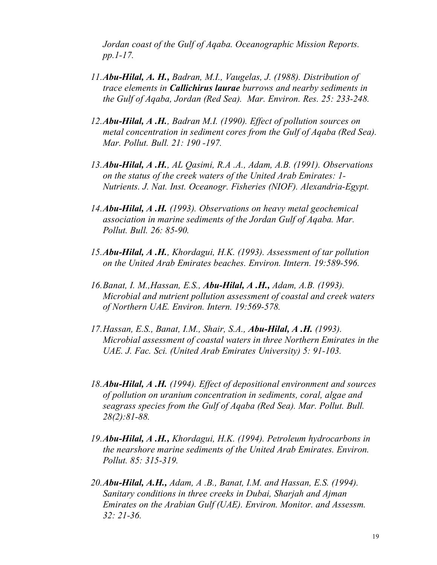*Jordan coast of the Gulf of Aqaba. Oceanographic Mission Reports. pp.1-17.*

- *11.Abu-Hilal, A. H., Badran, M.I., Vaugelas, J. (1988). Distribution of trace elements in Callichirus laurae burrows and nearby sediments in the Gulf of Aqaba, Jordan (Red Sea). Mar. Environ. Res. 25: 233-248.*
- *12.Abu-Hilal, A .H., Badran M.I. (1990). Effect of pollution sources on metal concentration in sediment cores from the Gulf of Aqaba (Red Sea). Mar. Pollut. Bull. 21: 190 -197.*
- *13.Abu-Hilal, A .H., AL Qasimi, R.A .A., Adam, A.B. (1991). Observations on the status of the creek waters of the United Arab Emirates: 1- Nutrients. J. Nat. Inst. Oceanogr. Fisheries (NIOF). Alexandria-Egypt.*
- *14.Abu-Hilal, A .H. (1993). Observations on heavy metal geochemical association in marine sediments of the Jordan Gulf of Aqaba. Mar. Pollut. Bull. 26: 85-90.*
- *15.Abu-Hilal, A .H., Khordagui, H.K. (1993). Assessment of tar pollution on the United Arab Emirates beaches. Environ. Itntern. 19:589-596.*
- *16.Banat, I. M.,Hassan, E.S., Abu-Hilal, A .H., Adam, A.B. (1993). Microbial and nutrient pollution assessment of coastal and creek waters of Northern UAE. Environ. Intern. 19:569-578.*
- *17.Hassan, E.S., Banat, I.M., Shair, S.A., Abu-Hilal, A .H. (1993). Microbial assessment of coastal waters in three Northern Emirates in the UAE. J. Fac. Sci. (United Arab Emirates University) 5: 91-103.*
- *18.Abu-Hilal, A .H. (1994). Effect of depositional environment and sources of pollution on uranium concentration in sediments, coral, algae and seagrass species from the Gulf of Aqaba (Red Sea). Mar. Pollut. Bull. 28(2):81-88.*
- *19.Abu-Hilal, A .H., Khordagui, H.K. (1994). Petroleum hydrocarbons in the nearshore marine sediments of the United Arab Emirates. Environ. Pollut. 85: 315-319.*
- *20.Abu-Hilal, A.H., Adam, A .B., Banat, I.M. and Hassan, E.S. (1994). Sanitary conditions in three creeks in Dubai, Sharjah and Ajman Emirates on the Arabian Gulf (UAE). Environ. Monitor. and Assessm. 32: 21-36.*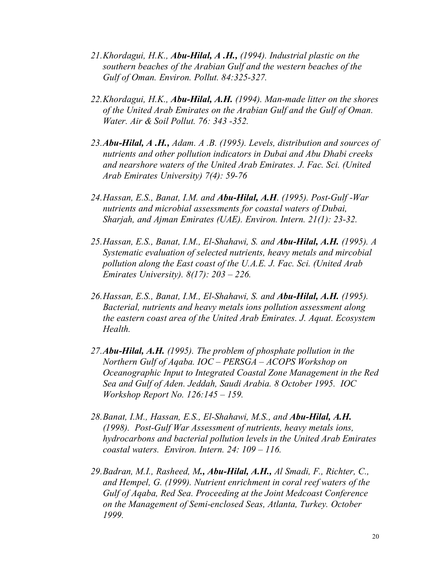- *21.Khordagui, H.K., Abu-Hilal, A .H., (1994). Industrial plastic on the southern beaches of the Arabian Gulf and the western beaches of the Gulf of Oman. Environ. Pollut. 84:325-327.*
- *22.Khordagui, H.K., Abu-Hilal, A.H. (1994). Man-made litter on the shores of the United Arab Emirates on the Arabian Gulf and the Gulf of Oman. Water. Air & Soil Pollut. 76: 343 -352.*
- *23.Abu-Hilal, A .H., Adam. A .B. (1995). Levels, distribution and sources of nutrients and other pollution indicators in Dubai and Abu Dhabi creeks and nearshore waters of the United Arab Emirates. J. Fac. Sci. (United Arab Emirates University) 7(4): 59-76*
- *24.Hassan, E.S., Banat, I.M. and Abu-Hilal, A.H. (1995). Post-Gulf -War nutrients and microbial assessments for coastal waters of Dubai, Sharjah, and Ajman Emirates (UAE). Environ. Intern. 21(1): 23-32.*
- *25.Hassan, E.S., Banat, I.M., El-Shahawi, S. and Abu-Hilal, A.H. (1995). A Systematic evaluation of selected nutrients, heavy metals and mircobial pollution along the East coast of the U.A.E. J. Fac. Sci. (United Arab Emirates University). 8(17): 203 – 226.*
- *26.Hassan, E.S., Banat, I.M., El-Shahawi, S. and Abu-Hilal, A.H. (1995). Bacterial, nutrients and heavy metals ions pollution assessment along the eastern coast area of the United Arab Emirates. J. Aquat. Ecosystem Health.*
- *27.Abu-Hilal, A.H. (1995). The problem of phosphate pollution in the Northern Gulf of Aqaba. IOC – PERSGA – ACOPS Workshop on Oceanographic Input to Integrated Coastal Zone Management in the Red Sea and Gulf of Aden. Jeddah, Saudi Arabia. 8 October 1995. IOC Workshop Report No. 126:145 – 159.*
- 28. Banat, I.M., Hassan, E.S., El-Shahawi, M.S., and *Abu-Hilal, A.H. (1998). Post-Gulf War Assessment of nutrients, heavy metals ions, hydrocarbons and bacterial pollution levels in the United Arab Emirates coastal waters. Environ. Intern. 24: 109 – 116.*
- *29.Badran, M.I., Rasheed, M., Abu-Hilal, A.H., Al Smadi, F., Richter, C., and Hempel, G. (1999). Nutrient enrichment in coral reef waters of the Gulf of Aqaba, Red Sea. Proceeding at the Joint Medcoast Conference on the Management of Semi-enclosed Seas, Atlanta, Turkey. October 1999.*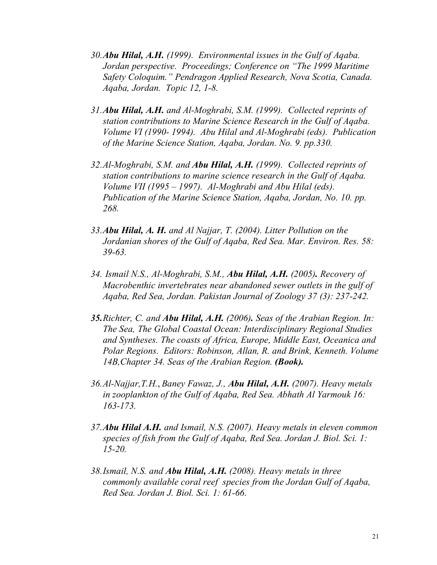- *30.Abu Hilal, A.H. (1999). Environmental issues in the Gulf of Aqaba. Jordan perspective. Proceedings; Conference on "The 1999 Maritime Safety Coloquim." Pendragon Applied Research, Nova Scotia, Canada. Aqaba, Jordan. Topic 12, 1-8.*
- *31.Abu Hilal, A.H. and Al-Moghrabi, S.M. (1999). Collected reprints of station contributions to Marine Science Research in the Gulf of Aqaba. Volume VI (1990- 1994). Abu Hilal and Al-Moghrabi (eds). Publication of the Marine Science Station, Aqaba, Jordan. No. 9. pp.330.*
- *32.Al-Moghrabi, S.M. and Abu Hilal, A.H. (1999). Collected reprints of station contributions to marine science research in the Gulf of Aqaba. Volume VII (1995 – 1997). Al-Moghrabi and Abu Hilal (eds). Publication of the Marine Science Station, Aqaba, Jordan, No. 10. pp. 268.*
- *33.Abu Hilal, A. H. and Al Najjar, T. (2004). Litter Pollution on the Jordanian shores of the Gulf of Aqaba, Red Sea. Mar. Environ. Res. 58: 39-63.*
- *34. Ismail N.S., Al-Moghrabi, S.M., Abu Hilal, A.H. (2005). Recovery of Macrobenthic invertebrates near abandoned sewer outlets in the gulf of Aqaba, Red Sea, Jordan. Pakistan Journal of Zoology 37 (3): 237-242.*
- *35.Richter, C. and Abu Hilal, A.H. (2006). Seas of the Arabian Region. In: The Sea, The Global Coastal Ocean: Interdisciplinary Regional Studies and Syntheses. The coasts of Africa, Europe, Middle East, Oceanica and Polar Regions. Editors: Robinson, Allan, R. and Brink, Kenneth. Volume 14B,Chapter 34. Seas of the Arabian Region. (Book).*
- *36.Al-Najjar,T.H.*, *Baney Fawaz, J., Abu Hilal, A.H. (2007). Heavy metals in zooplankton of the Gulf of Aqaba, Red Sea. Abhath Al Yarmouk 16: 163-173.*
- *37.Abu Hilal A.H. and Ismail, N.S. (2007). Heavy metals in eleven common species of fish from the Gulf of Aqaba, Red Sea. Jordan J. Biol. Sci. 1: 15-20.*
- *38.Ismail, N.S. and Abu Hilal, A.H. (2008). Heavy metals in three commonly available coral reef species from the Jordan Gulf of Aqaba, Red Sea. Jordan J. Biol. Sci. 1: 61-66.*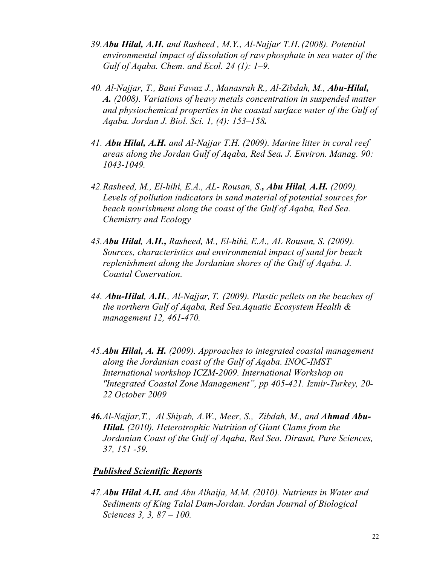- *39.Abu Hilal, A.H. and Rasheed , M.Y., Al-Najjar, T.H. (2008). Potential environmental impact of dissolution of raw phosphate in sea water of the Gulf of Aqaba. Chem. and Ecol. 24 (1): 1–9.*
- *40. Al-Najjar, T., Bani Fawaz J., Manasrah R., Al-Zibdah, M., Abu-Hilal, A. (2008). Variations of heavy metals concentration in suspended matter and physiochemical properties in the coastal surface water of the Gulf of Aqaba. Jordan J. Biol. Sci. 1, (4): 153–158.*
- *41. Abu Hilal, A.H. and Al-Najjar T.H. (2009). Marine litter in coral reef areas along the Jordan Gulf of Aqaba, Red Sea. J. Environ. Manag. 90: 1043-1049.*
- *42.Rasheed, M., El-hihi, E.A., AL- Rousan, S., Abu Hilal, A.H. (2009). Levels of pollution indicators in sand material of potential sources for beach nourishment along the coast of the Gulf of Aqaba, Red Sea. Chemistry and Ecology*
- *43.Abu Hilal, A.H., Rasheed, M., El-hihi, E.A., AL Rousan, S. (2009). Sources, characteristics and environmental impact of sand for beach replenishment along the Jordanian shores of the Gulf of Aqaba. J. Coastal Coservation.*
- *44. Abu-Hilal, A.H., Al-Najjar, T. (2009). Plastic pellets on the beaches of the northern Gulf of Aqaba, Red Sea.Aquatic Ecosystem Health & management 12, 461-470.*
- *45.Abu Hilal, A. H. (2009). Approaches to integrated coastal management along the Jordanian coast of the Gulf of Aqaba. INOC-IMST International workshop ICZM-2009. International Workshop on "Integrated Coastal Zone Management", pp 405-421. Izmir-Turkey, 20- 22 October 2009*
- *46.Al-Najjar,T., Al Shiyab, A.W., Meer, S., Zibdah, M., and Ahmad Abu-Hilal. (2010). Heterotrophic Nutrition of Giant Clams from the Jordanian Coast of the Gulf of Aqaba, Red Sea. Dirasat, Pure Sciences, 37, 151 -59.*

# *Published Scientific Reports*

*47.Abu Hilal A.H. and Abu Alhaija, M.M. (2010). Nutrients in Water and Sediments of King Talal Dam-Jordan. Jordan Journal of Biological Sciences 3, 3, 87 – 100.*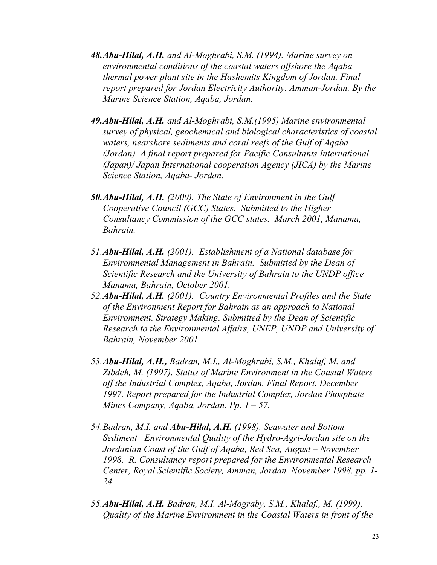- *48.Abu-Hilal, A.H. and Al-Moghrabi, S.M. (1994). Marine survey on environmental conditions of the coastal waters offshore the Aqaba thermal power plant site in the Hashemits Kingdom of Jordan. Final report prepared for Jordan Electricity Authority. Amman-Jordan, By the Marine Science Station, Aqaba, Jordan.*
- *49.Abu-Hilal, A.H. and Al-Moghrabi, S.M.(1995) Marine environmental survey of physical, geochemical and biological characteristics of coastal waters, nearshore sediments and coral reefs of the Gulf of Aqaba (Jordan). A final report prepared for Pacific Consultants International (Japan)/ Japan International cooperation Agency (JICA) by the Marine Science Station, Aqaba- Jordan.*
- *50.Abu-Hilal, A.H. (2000). The State of Environment in the Gulf Cooperative Council (GCC) States. Submitted to the Higher Consultancy Commission of the GCC states. March 2001, Manama, Bahrain.*
- *51.Abu-Hilal, A.H. (2001). Establishment of a National database for Environmental Management in Bahrain. Submitted by the Dean of Scientific Research and the University of Bahrain to the UNDP office Manama, Bahrain, October 2001.*
- *52.Abu-Hilal, A.H. (2001). Country Environmental Profiles and the State of the Environment Report for Bahrain as an approach to National Environment. Strategy Making. Submitted by the Dean of Scientific Research to the Environmental Affairs, UNEP, UNDP and University of Bahrain, November 2001.*
- *53.Abu-Hilal, A.H., Badran, M.I., Al-Moghrabi, S.M., Khalaf, M. and Zibdeh, M. (1997). Status of Marine Environment in the Coastal Waters off the Industrial Complex, Aqaba, Jordan. Final Report. December 1997. Report prepared for the Industrial Complex, Jordan Phosphate Mines Company, Aqaba, Jordan. Pp. 1 – 57.*
- *54.Badran, M.I. and Abu-Hilal, A.H. (1998). Seawater and Bottom Sediment Environmental Quality of the Hydro-Agri-Jordan site on the Jordanian Coast of the Gulf of Aqaba, Red Sea, August – November 1998. R. Consultancy report prepared for the Environmental Research Center, Royal Scientific Society, Amman, Jordan. November 1998. pp. 1- 24.*
- *55.Abu-Hilal, A.H. Badran, M.I. Al-Mograby, S.M., Khalaf., M. (1999). Quality of the Marine Environment in the Coastal Waters in front of the*